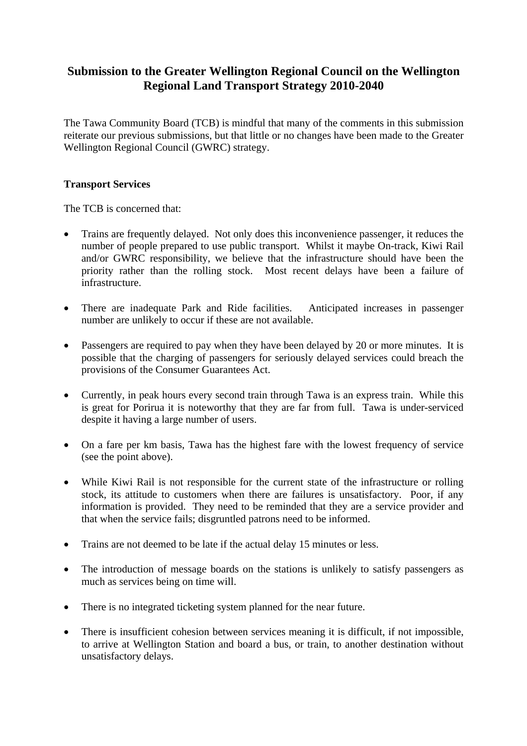# **Submission to the Greater Wellington Regional Council on the Wellington Regional Land Transport Strategy 2010-2040**

The Tawa Community Board (TCB) is mindful that many of the comments in this submission reiterate our previous submissions, but that little or no changes have been made to the Greater Wellington Regional Council (GWRC) strategy.

## **Transport Services**

The TCB is concerned that:

- Trains are frequently delayed. Not only does this inconvenience passenger, it reduces the number of people prepared to use public transport. Whilst it maybe On-track, Kiwi Rail and/or GWRC responsibility, we believe that the infrastructure should have been the priority rather than the rolling stock. Most recent delays have been a failure of infrastructure.
- There are inadequate Park and Ride facilities. Anticipated increases in passenger number are unlikely to occur if these are not available.
- Passengers are required to pay when they have been delayed by 20 or more minutes. It is possible that the charging of passengers for seriously delayed services could breach the provisions of the Consumer Guarantees Act.
- Currently, in peak hours every second train through Tawa is an express train. While this is great for Porirua it is noteworthy that they are far from full. Tawa is under-serviced despite it having a large number of users.
- On a fare per km basis, Tawa has the highest fare with the lowest frequency of service (see the point above).
- While Kiwi Rail is not responsible for the current state of the infrastructure or rolling stock, its attitude to customers when there are failures is unsatisfactory. Poor, if any information is provided. They need to be reminded that they are a service provider and that when the service fails; disgruntled patrons need to be informed.
- Trains are not deemed to be late if the actual delay 15 minutes or less.
- The introduction of message boards on the stations is unlikely to satisfy passengers as much as services being on time will.
- There is no integrated ticketing system planned for the near future.
- There is insufficient cohesion between services meaning it is difficult, if not impossible, to arrive at Wellington Station and board a bus, or train, to another destination without unsatisfactory delays.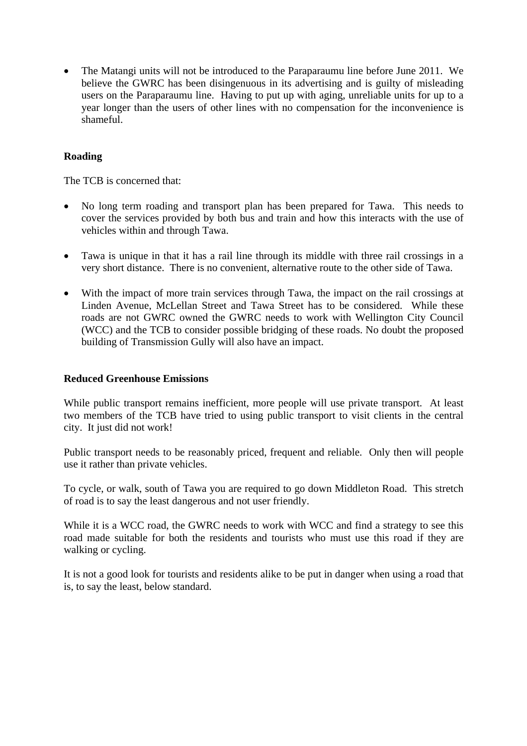• The Matangi units will not be introduced to the Paraparaumu line before June 2011. We believe the GWRC has been disingenuous in its advertising and is guilty of misleading users on the Paraparaumu line. Having to put up with aging, unreliable units for up to a year longer than the users of other lines with no compensation for the inconvenience is shameful.

# **Roading**

The TCB is concerned that:

- No long term roading and transport plan has been prepared for Tawa. This needs to cover the services provided by both bus and train and how this interacts with the use of vehicles within and through Tawa.
- Tawa is unique in that it has a rail line through its middle with three rail crossings in a very short distance. There is no convenient, alternative route to the other side of Tawa.
- With the impact of more train services through Tawa, the impact on the rail crossings at Linden Avenue, McLellan Street and Tawa Street has to be considered. While these roads are not GWRC owned the GWRC needs to work with Wellington City Council (WCC) and the TCB to consider possible bridging of these roads. No doubt the proposed building of Transmission Gully will also have an impact.

#### **Reduced Greenhouse Emissions**

While public transport remains inefficient, more people will use private transport. At least two members of the TCB have tried to using public transport to visit clients in the central city. It just did not work!

Public transport needs to be reasonably priced, frequent and reliable. Only then will people use it rather than private vehicles.

To cycle, or walk, south of Tawa you are required to go down Middleton Road. This stretch of road is to say the least dangerous and not user friendly.

While it is a WCC road, the GWRC needs to work with WCC and find a strategy to see this road made suitable for both the residents and tourists who must use this road if they are walking or cycling.

It is not a good look for tourists and residents alike to be put in danger when using a road that is, to say the least, below standard.